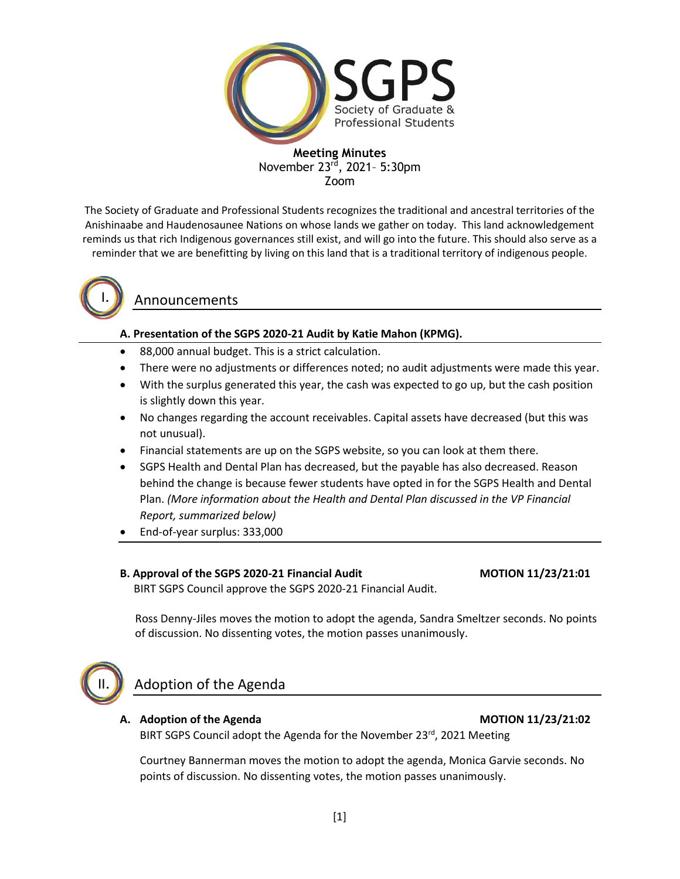

The Society of Graduate and Professional Students recognizes the traditional and ancestral territories of the Anishinaabe and Haudenosaunee Nations on whose lands we gather on today. This land acknowledgement reminds us that rich Indigenous governances still exist, and will go into the future. This should also serve as a reminder that we are benefitting by living on this land that is a traditional territory of indigenous people.



# Announcements

# **A. Presentation of the SGPS 2020-21 Audit by Katie Mahon (KPMG).**

- 88,000 annual budget. This is a strict calculation.
- There were no adjustments or differences noted; no audit adjustments were made this year.
- With the surplus generated this year, the cash was expected to go up, but the cash position is slightly down this year.
- No changes regarding the account receivables. Capital assets have decreased (but this was not unusual).
- Financial statements are up on the SGPS website, so you can look at them there.
- SGPS Health and Dental Plan has decreased, but the payable has also decreased. Reason behind the change is because fewer students have opted in for the SGPS Health and Dental Plan. *(More information about the Health and Dental Plan discussed in the VP Financial Report, summarized below)*
- End-of-year surplus: 333,000

### **B. Approval of the SGPS 2020-21 Financial Audit MOTION 11/23/21:01**

BIRT SGPS Council approve the SGPS 2020-21 Financial Audit.

 Ross Denny-Jiles moves the motion to adopt the agenda, Sandra Smeltzer seconds. No points of discussion. No dissenting votes, the motion passes unanimously.



# Adoption of the Agenda

### **A. Adoption of the Agenda MOTION 11/23/21:02**

BIRT SGPS Council adopt the Agenda for the November 23rd, 2021 Meeting

Courtney Bannerman moves the motion to adopt the agenda, Monica Garvie seconds. No points of discussion. No dissenting votes, the motion passes unanimously.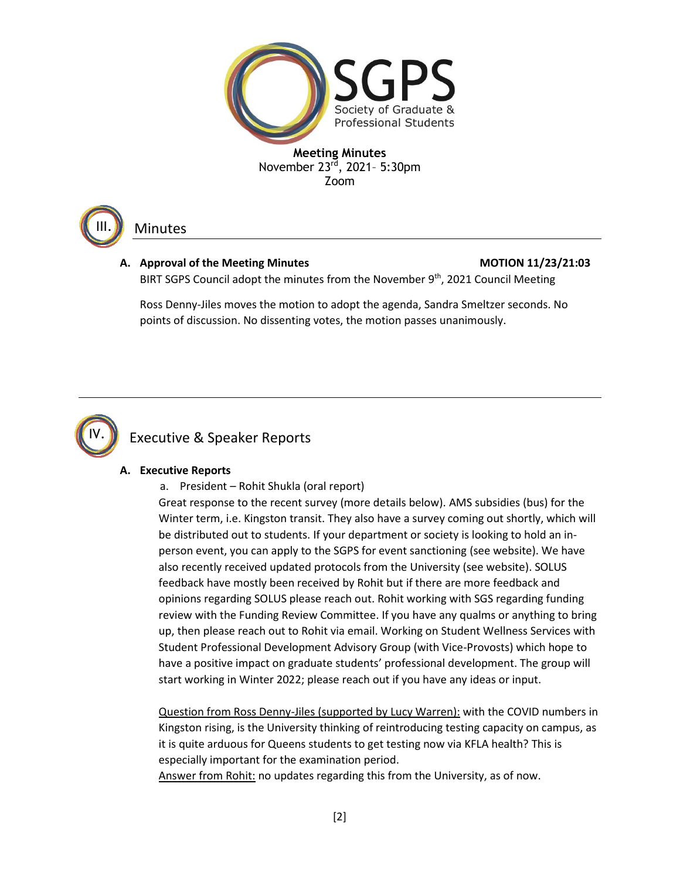

Minutes

III.

# A. Approval of the Meeting Minutes **MOTION 11/23/21:03**

BIRT SGPS Council adopt the minutes from the November 9<sup>th</sup>, 2021 Council Meeting

Ross Denny-Jiles moves the motion to adopt the agenda, Sandra Smeltzer seconds. No points of discussion. No dissenting votes, the motion passes unanimously.



# Executive & Speaker Reports

# **A. Executive Reports**

a. President – Rohit Shukla (oral report)

Great response to the recent survey (more details below). AMS subsidies (bus) for the Winter term, i.e. Kingston transit. They also have a survey coming out shortly, which will be distributed out to students. If your department or society is looking to hold an inperson event, you can apply to the SGPS for event sanctioning (see website). We have also recently received updated protocols from the University (see website). SOLUS feedback have mostly been received by Rohit but if there are more feedback and opinions regarding SOLUS please reach out. Rohit working with SGS regarding funding review with the Funding Review Committee. If you have any qualms or anything to bring up, then please reach out to Rohit via email. Working on Student Wellness Services with Student Professional Development Advisory Group (with Vice-Provosts) which hope to have a positive impact on graduate students' professional development. The group will start working in Winter 2022; please reach out if you have any ideas or input.

Question from Ross Denny-Jiles (supported by Lucy Warren): with the COVID numbers in Kingston rising, is the University thinking of reintroducing testing capacity on campus, as it is quite arduous for Queens students to get testing now via KFLA health? This is especially important for the examination period.

Answer from Rohit: no updates regarding this from the University, as of now.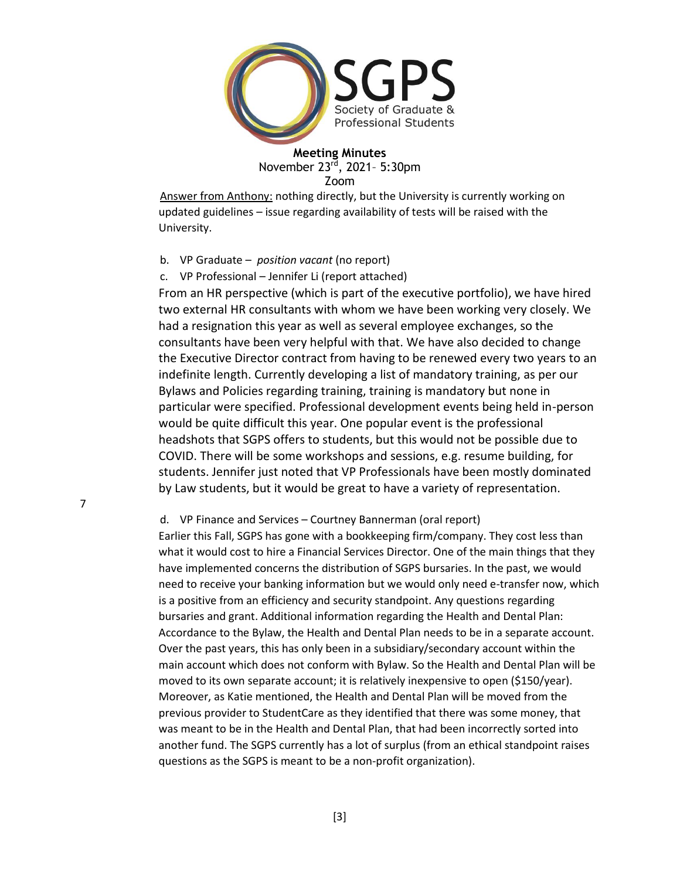

Answer from Anthony: nothing directly, but the University is currently working on updated guidelines – issue regarding availability of tests will be raised with the University.

b. VP Graduate – *position vacant* (no report)

c. VP Professional – Jennifer Li (report attached)

From an HR perspective (which is part of the executive portfolio), we have hired two external HR consultants with whom we have been working very closely. We had a resignation this year as well as several employee exchanges, so the consultants have been very helpful with that. We have also decided to change the Executive Director contract from having to be renewed every two years to an indefinite length. Currently developing a list of mandatory training, as per our Bylaws and Policies regarding training, training is mandatory but none in particular were specified. Professional development events being held in-person would be quite difficult this year. One popular event is the professional headshots that SGPS offers to students, but this would not be possible due to COVID. There will be some workshops and sessions, e.g. resume building, for students. Jennifer just noted that VP Professionals have been mostly dominated by Law students, but it would be great to have a variety of representation.

d. VP Finance and Services – Courtney Bannerman (oral report)

Earlier this Fall, SGPS has gone with a bookkeeping firm/company. They cost less than what it would cost to hire a Financial Services Director. One of the main things that they have implemented concerns the distribution of SGPS bursaries. In the past, we would need to receive your banking information but we would only need e-transfer now, which is a positive from an efficiency and security standpoint. Any questions regarding bursaries and grant. Additional information regarding the Health and Dental Plan: Accordance to the Bylaw, the Health and Dental Plan needs to be in a separate account. Over the past years, this has only been in a subsidiary/secondary account within the main account which does not conform with Bylaw. So the Health and Dental Plan will be moved to its own separate account; it is relatively inexpensive to open (\$150/year). Moreover, as Katie mentioned, the Health and Dental Plan will be moved from the previous provider to StudentCare as they identified that there was some money, that was meant to be in the Health and Dental Plan, that had been incorrectly sorted into another fund. The SGPS currently has a lot of surplus (from an ethical standpoint raises questions as the SGPS is meant to be a non-profit organization).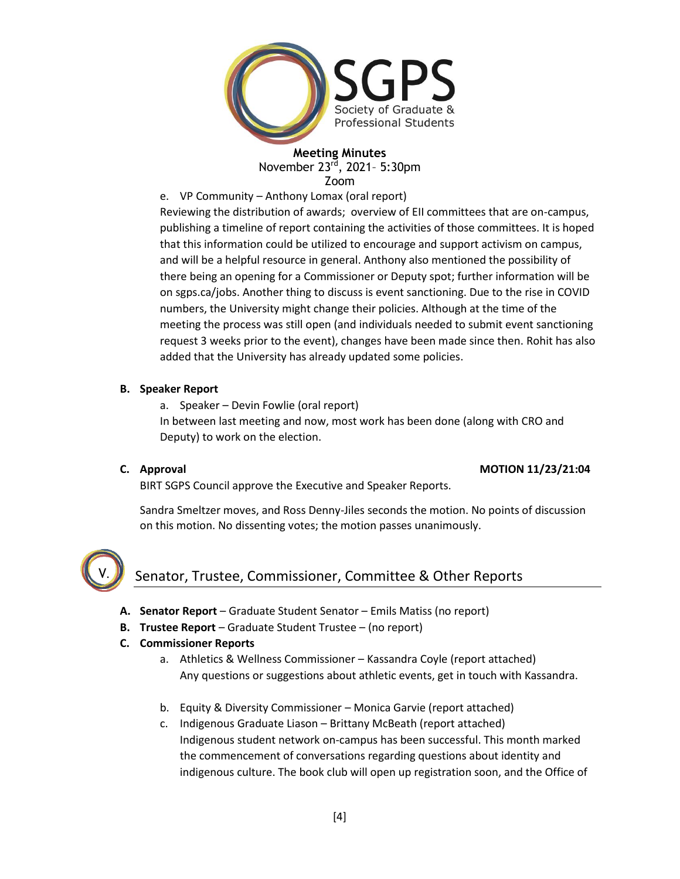

e. VP Community – Anthony Lomax (oral report)

Reviewing the distribution of awards; overview of EII committees that are on-campus, publishing a timeline of report containing the activities of those committees. It is hoped that this information could be utilized to encourage and support activism on campus, and will be a helpful resource in general. Anthony also mentioned the possibility of there being an opening for a Commissioner or Deputy spot; further information will be on sgps.ca/jobs. Another thing to discuss is event sanctioning. Due to the rise in COVID numbers, the University might change their policies. Although at the time of the meeting the process was still open (and individuals needed to submit event sanctioning request 3 weeks prior to the event), changes have been made since then. Rohit has also added that the University has already updated some policies.

# **B. Speaker Report**

a. Speaker – Devin Fowlie (oral report) In between last meeting and now, most work has been done (along with CRO and Deputy) to work on the election.

# **C. Approval MOTION 11/23/21:04**

BIRT SGPS Council approve the Executive and Speaker Reports.

Sandra Smeltzer moves, and Ross Denny-Jiles seconds the motion. No points of discussion on this motion. No dissenting votes; the motion passes unanimously.



# Senator, Trustee, Commissioner, Committee & Other Reports

- **A. Senator Report**  Graduate Student Senator Emils Matiss (no report)
- **B. Trustee Report**  Graduate Student Trustee (no report)
- **C. Commissioner Reports**
	- a. Athletics & Wellness Commissioner Kassandra Coyle (report attached) Any questions or suggestions about athletic events, get in touch with Kassandra.
	- b. Equity & Diversity Commissioner Monica Garvie (report attached)
	- c. Indigenous Graduate Liason Brittany McBeath (report attached) Indigenous student network on-campus has been successful. This month marked the commencement of conversations regarding questions about identity and indigenous culture. The book club will open up registration soon, and the Office of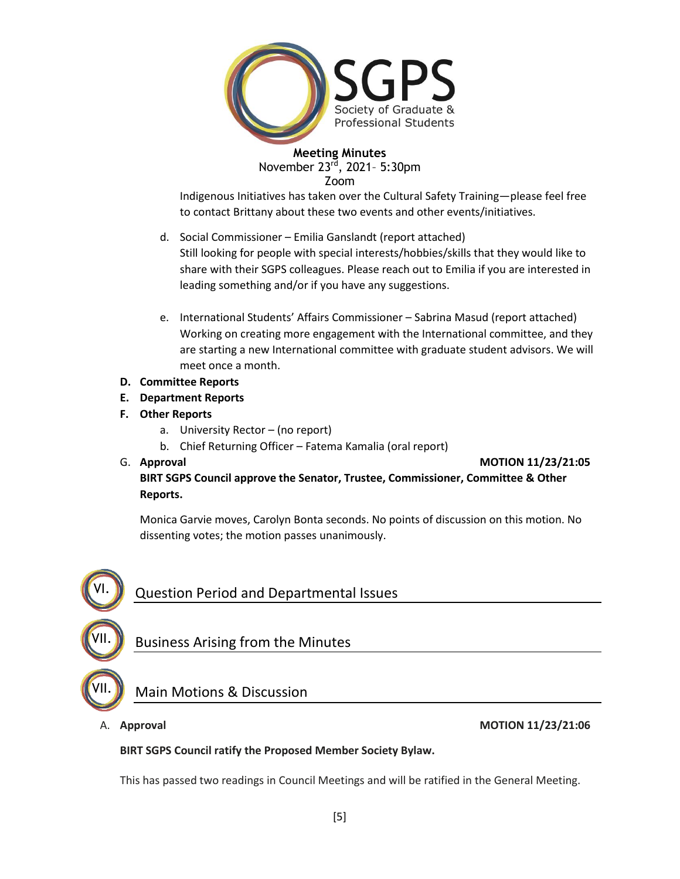

Indigenous Initiatives has taken over the Cultural Safety Training—please feel free to contact Brittany about these two events and other events/initiatives.

d. Social Commissioner – Emilia Ganslandt (report attached)

Still looking for people with special interests/hobbies/skills that they would like to share with their SGPS colleagues. Please reach out to Emilia if you are interested in leading something and/or if you have any suggestions.

- e. International Students' Affairs Commissioner Sabrina Masud (report attached) Working on creating more engagement with the International committee, and they are starting a new International committee with graduate student advisors. We will meet once a month.
- **D. Committee Reports**
- **E. Department Reports**
- **F. Other Reports**
	- a. University Rector (no report)
	- b. Chief Returning Officer Fatema Kamalia (oral report)
- 

G. **Approval MOTION 11/23/21:05**

**BIRT SGPS Council approve the Senator, Trustee, Commissioner, Committee & Other Reports.**

Monica Garvie moves, Carolyn Bonta seconds. No points of discussion on this motion. No dissenting votes; the motion passes unanimously.



### A. **Approval MOTION 11/23/21:06**

### **BIRT SGPS Council ratify the Proposed Member Society Bylaw.**

This has passed two readings in Council Meetings and will be ratified in the General Meeting.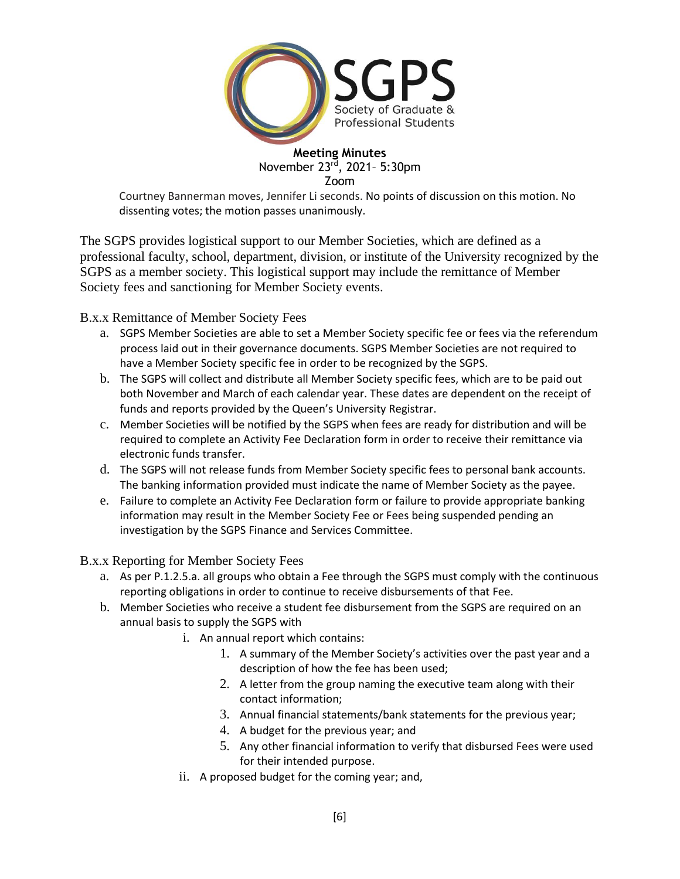

Courtney Bannerman moves, Jennifer Li seconds. No points of discussion on this motion. No dissenting votes; the motion passes unanimously.

The SGPS provides logistical support to our Member Societies, which are defined as a professional faculty, school, department, division, or institute of the University recognized by the SGPS as a member society. This logistical support may include the remittance of Member Society fees and sanctioning for Member Society events.

B.x.x Remittance of Member Society Fees

- a. SGPS Member Societies are able to set a Member Society specific fee or fees via the referendum process laid out in their governance documents. SGPS Member Societies are not required to have a Member Society specific fee in order to be recognized by the SGPS.
- b. The SGPS will collect and distribute all Member Society specific fees, which are to be paid out both November and March of each calendar year. These dates are dependent on the receipt of funds and reports provided by the Queen's University Registrar.
- c. Member Societies will be notified by the SGPS when fees are ready for distribution and will be required to complete an Activity Fee Declaration form in order to receive their remittance via electronic funds transfer.
- d. The SGPS will not release funds from Member Society specific fees to personal bank accounts. The banking information provided must indicate the name of Member Society as the payee.
- e. Failure to complete an Activity Fee Declaration form or failure to provide appropriate banking information may result in the Member Society Fee or Fees being suspended pending an investigation by the SGPS Finance and Services Committee.

B.x.x Reporting for Member Society Fees

- a. As per P.1.2.5.a. all groups who obtain a Fee through the SGPS must comply with the continuous reporting obligations in order to continue to receive disbursements of that Fee.
- b. Member Societies who receive a student fee disbursement from the SGPS are required on an annual basis to supply the SGPS with
	- i. An annual report which contains:
		- 1. A summary of the Member Society's activities over the past year and a description of how the fee has been used;
		- 2. A letter from the group naming the executive team along with their contact information;
		- 3. Annual financial statements/bank statements for the previous year;
		- 4. A budget for the previous year; and
		- 5. Any other financial information to verify that disbursed Fees were used for their intended purpose.
		- ii. A proposed budget for the coming year; and,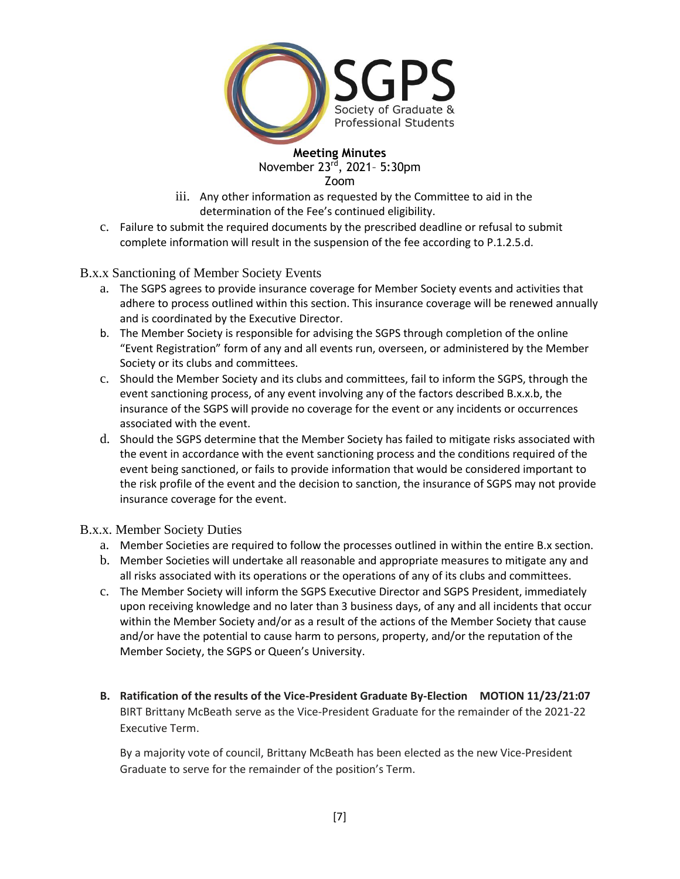

- iii. Any other information as requested by the Committee to aid in the determination of the Fee's continued eligibility.
- c. Failure to submit the required documents by the prescribed deadline or refusal to submit complete information will result in the suspension of the fee according to P.1.2.5.d.

B.x.x Sanctioning of Member Society Events

- a. The SGPS agrees to provide insurance coverage for Member Society events and activities that adhere to process outlined within this section. This insurance coverage will be renewed annually and is coordinated by the Executive Director.
- b. The Member Society is responsible for advising the SGPS through completion of the online "Event Registration" form of any and all events run, overseen, or administered by the Member Society or its clubs and committees.
- c. Should the Member Society and its clubs and committees, fail to inform the SGPS, through the event sanctioning process, of any event involving any of the factors described B.x.x.b, the insurance of the SGPS will provide no coverage for the event or any incidents or occurrences associated with the event.
- d. Should the SGPS determine that the Member Society has failed to mitigate risks associated with the event in accordance with the event sanctioning process and the conditions required of the event being sanctioned, or fails to provide information that would be considered important to the risk profile of the event and the decision to sanction, the insurance of SGPS may not provide insurance coverage for the event.

### B.x.x. Member Society Duties

- a. Member Societies are required to follow the processes outlined in within the entire B.x section.
- b. Member Societies will undertake all reasonable and appropriate measures to mitigate any and all risks associated with its operations or the operations of any of its clubs and committees.
- c. The Member Society will inform the SGPS Executive Director and SGPS President, immediately upon receiving knowledge and no later than 3 business days, of any and all incidents that occur within the Member Society and/or as a result of the actions of the Member Society that cause and/or have the potential to cause harm to persons, property, and/or the reputation of the Member Society, the SGPS or Queen's University.
- **B. Ratification of the results of the Vice-President Graduate By-Election MOTION 11/23/21:07** BIRT Brittany McBeath serve as the Vice-President Graduate for the remainder of the 2021-22 Executive Term.

By a majority vote of council, Brittany McBeath has been elected as the new Vice-President Graduate to serve for the remainder of the position's Term.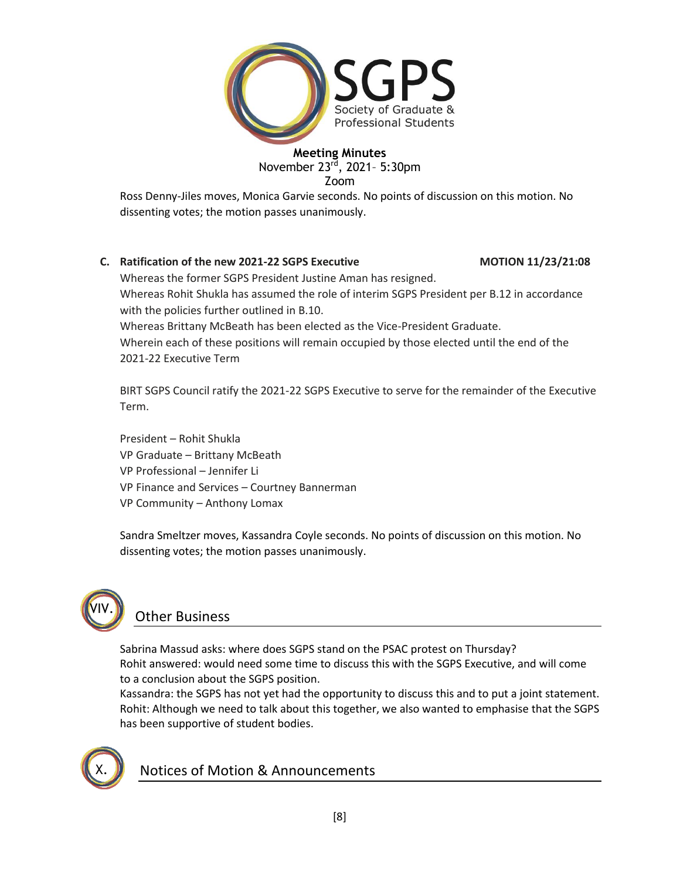

Ross Denny-Jiles moves, Monica Garvie seconds. No points of discussion on this motion. No dissenting votes; the motion passes unanimously.

# **C. Ratification of the new 2021-22 SGPS Executive MOTION 11/23/21:08**

Whereas the former SGPS President Justine Aman has resigned. Whereas Rohit Shukla has assumed the role of interim SGPS President per B.12 in accordance with the policies further outlined in B.10. Whereas Brittany McBeath has been elected as the Vice-President Graduate. Wherein each of these positions will remain occupied by those elected until the end of the 2021-22 Executive Term

BIRT SGPS Council ratify the 2021-22 SGPS Executive to serve for the remainder of the Executive Term.

President – Rohit Shukla VP Graduate – Brittany McBeath VP Professional – Jennifer Li VP Finance and Services – Courtney Bannerman VP Community – Anthony Lomax

Sandra Smeltzer moves, Kassandra Coyle seconds. No points of discussion on this motion. No dissenting votes; the motion passes unanimously.



# Other Business

Sabrina Massud asks: where does SGPS stand on the PSAC protest on Thursday? Rohit answered: would need some time to discuss this with the SGPS Executive, and will come to a conclusion about the SGPS position.

Kassandra: the SGPS has not yet had the opportunity to discuss this and to put a joint statement. Rohit: Although we need to talk about this together, we also wanted to emphasise that the SGPS has been supportive of student bodies.



Notices of Motion & Announcements